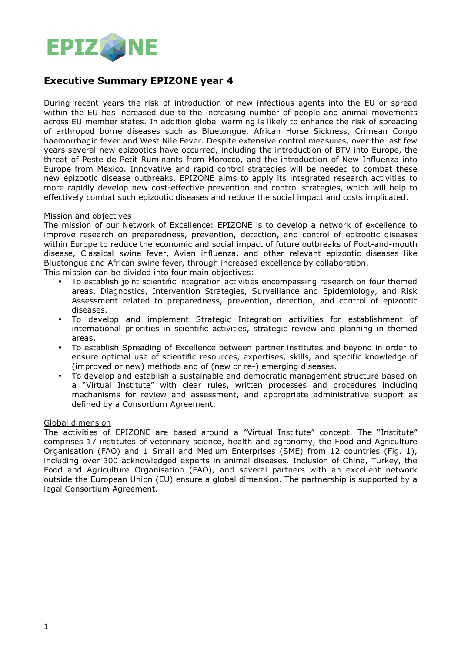

## **Executive Summary EPIZONE year 4**

During recent years the risk of introduction of new infectious agents into the EU or spread within the EU has increased due to the increasing number of people and animal movements across EU member states. In addition global warming is likely to enhance the risk of spreading of arthropod borne diseases such as Bluetongue, African Horse Sickness, Crimean Congo haemorrhagic fever and West Nile Fever. Despite extensive control measures, over the last few years several new epizootics have occurred, including the introduction of BTV into Europe, the threat of Peste de Petit Ruminants from Morocco, and the introduction of New Influenza into Europe from Mexico. Innovative and rapid control strategies will be needed to combat these new epizootic disease outbreaks. EPIZONE aims to apply its integrated research activities to more rapidly develop new cost-effective prevention and control strategies, which will help to effectively combat such epizootic diseases and reduce the social impact and costs implicated.

## Mission and objectives

The mission of our Network of Excellence: EPIZONE is to develop a network of excellence to improve research on preparedness, prevention, detection, and control of epizootic diseases within Europe to reduce the economic and social impact of future outbreaks of Foot-and-mouth disease, Classical swine fever, Avian influenza, and other relevant epizootic diseases like Bluetongue and African swine fever, through increased excellence by collaboration.

This mission can be divided into four main objectives:

- To establish joint scientific integration activities encompassing research on four themed areas, Diagnostics, Intervention Strategies, Surveillance and Epidemiology, and Risk Assessment related to preparedness, prevention, detection, and control of epizootic diseases.
- To develop and implement Strategic Integration activities for establishment of international priorities in scientific activities, strategic review and planning in themed areas.
- To establish Spreading of Excellence between partner institutes and beyond in order to ensure optimal use of scientific resources, expertises, skills, and specific knowledge of (improved or new) methods and of (new or re-) emerging diseases.
- To develop and establish a sustainable and democratic management structure based on a "Virtual Institute" with clear rules, written processes and procedures including mechanisms for review and assessment, and appropriate administrative support as defined by a Consortium Agreement.

## Global dimension

The activities of EPIZONE are based around a "Virtual Institute" concept. The "Institute" comprises 17 institutes of veterinary science, health and agronomy, the Food and Agriculture Organisation (FAO) and 1 Small and Medium Enterprises (SME) from 12 countries (Fig. 1), including over 300 acknowledged experts in animal diseases. Inclusion of China, Turkey, the Food and Agriculture Organisation (FAO), and several partners with an excellent network outside the European Union (EU) ensure a global dimension. The partnership is supported by a legal Consortium Agreement.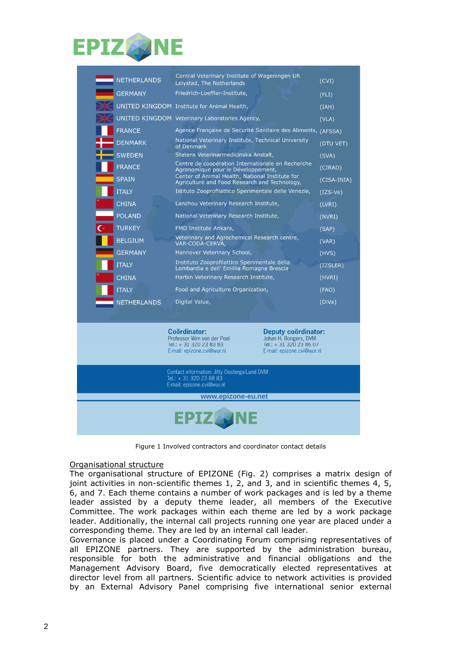

| <b>NETHERLANDS</b>                                                                                                          | Central Veterinary Institute of Wageningen UR<br>Lelystad, The Netherlands                          |                                                                                                       | (CVI)       |
|-----------------------------------------------------------------------------------------------------------------------------|-----------------------------------------------------------------------------------------------------|-------------------------------------------------------------------------------------------------------|-------------|
| <b>GERMANY</b>                                                                                                              | Friedrich-Loeffler-Institute,                                                                       |                                                                                                       | (FLI)       |
|                                                                                                                             | UNITED KINGDOM Institute for Animal Health,                                                         |                                                                                                       | (IAH)       |
|                                                                                                                             | UNITED KINGDOM Veterinary Laboratories Agency,                                                      |                                                                                                       | (VLA)       |
| <b>FRANCE</b>                                                                                                               | Agence Française de Securité Sanitaire des Aliments, (AFSSA)                                        |                                                                                                       |             |
| <b>DENMARK</b>                                                                                                              | National Veterinary Institute, Technical University<br>of Denmark                                   |                                                                                                       | (DTU VET)   |
| <b>SWEDEN</b>                                                                                                               | Statens Veterinarmedicinska Anstalt,                                                                |                                                                                                       | (SVA)       |
| <b>FRANCE</b>                                                                                                               | Centre de coopération Internationale en Recherche<br>Agronomique pour le Développement,             |                                                                                                       | (CIRAD)     |
| <b>SPAIN</b>                                                                                                                | Center of Animal Health, National Institute for<br>Agriculture and Food Research and Technology,    |                                                                                                       | (CISA-INIA) |
| <b>ITALY</b>                                                                                                                | Istituto Zooprofilattico Sperimentale delle Venezie,                                                |                                                                                                       | $(IZS-Ve)$  |
| <b>CHINA</b>                                                                                                                | Lanzhou Veterinary Research Institute,                                                              |                                                                                                       | (LVRI)      |
| <b>POLAND</b>                                                                                                               | National Veterinary Research Institute,                                                             |                                                                                                       | (NVRI)      |
| <b>TURKEY</b>                                                                                                               | FMD Institute Ankara,                                                                               |                                                                                                       | (SAP)       |
| <b>BELGIUM</b>                                                                                                              | Veterinary and Agrochemical Research centre,<br>VAR-CODA-CERVA,                                     |                                                                                                       | (VAR)       |
| <b>GERMANY</b>                                                                                                              | Hannover Veterinary School,                                                                         |                                                                                                       | (HVS)       |
| <b>ITALY</b>                                                                                                                | Instituto Zooprofilattico Sperimentale della<br>Lombardia e dell' Emillia Romagna Brescia           |                                                                                                       | (IZSLER)    |
| <b>CHINA</b>                                                                                                                | Harbin Veterinary Research Institute,                                                               |                                                                                                       | (HVRI)      |
| <b>ITALY</b>                                                                                                                | Food and Agriculture Organization,                                                                  |                                                                                                       | (FAO)       |
| <b>NETHERLANDS</b>                                                                                                          | Digital Value,                                                                                      |                                                                                                       | (DiVa)      |
|                                                                                                                             | Coördinator:<br>Professor Wim van der Poel<br>Tel.: + 31 320 23 83 83<br>E-mail: epizone.cvi@wur.nl | Deputy coördinator:<br>Johan H. Bongers, DVM<br>Tel.: + 31 320 23 86 07<br>E-mail: epizone.cvi@wur.nl |             |
| Contact information: Jitty Oosterga-Land DVM<br>Tel.: + 31 320 23 88 83<br>E-mail: epizone.cvi@wur.nl<br>www.epizone-eu.net |                                                                                                     |                                                                                                       |             |
| <b>EPIZ X NE</b>                                                                                                            |                                                                                                     |                                                                                                       |             |

Figure 1 Involved contractors and coordinator contact details

ļ,

## Organisational structure

The organisational structure of EPIZONE (Fig. 2) comprises a matrix design of joint activities in non-scientific themes 1, 2, and 3, and in scientific themes 4, 5, 6, and 7. Each theme contains a number of work packages and is led by a theme leader assisted by a deputy theme leader, all members of the Executive Committee. The work packages within each theme are led by a work package leader. Additionally, the internal call projects running one year are placed under a corresponding theme. They are led by an internal call leader.

Governance is placed under a Coordinating Forum comprising representatives of all EPIZONE partners. They are supported by the administration bureau, responsible for both the administrative and financial obligations and the Management Advisory Board, five democratically elected representatives at director level from all partners. Scientific advice to network activities is provided by an External Advisory Panel comprising five international senior external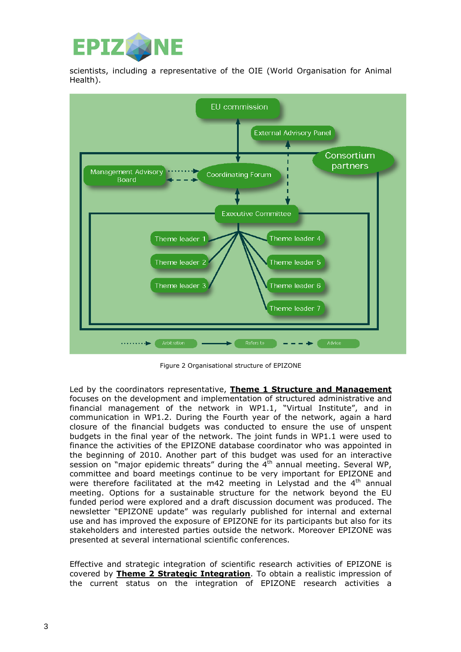

scientists, including a representative of the OIE (World Organisation for Animal Health).



Figure 2 Organisational structure of EPIZONE

Led by the coordinators representative, **Theme 1 Structure and Management** focuses on the development and implementation of structured administrative and financial management of the network in WP1.1, "Virtual Institute", and in communication in WP1.2. During the Fourth year of the network, again a hard closure of the financial budgets was conducted to ensure the use of unspent budgets in the final year of the network. The joint funds in WP1.1 were used to finance the activities of the EPIZONE database coordinator who was appointed in the beginning of 2010. Another part of this budget was used for an interactive session on "major epidemic threats" during the  $4<sup>th</sup>$  annual meeting. Several WP, committee and board meetings continue to be very important for EPIZONE and were therefore facilitated at the m42 meeting in Lelystad and the  $4<sup>th</sup>$  annual meeting. Options for a sustainable structure for the network beyond the EU funded period were explored and a draft discussion document was produced. The newsletter "EPIZONE update" was regularly published for internal and external use and has improved the exposure of EPIZONE for its participants but also for its stakeholders and interested parties outside the network. Moreover EPIZONE was presented at several international scientific conferences.

Effective and strategic integration of scientific research activities of EPIZONE is covered by **Theme 2 Strategic Integration**. To obtain a realistic impression of the current status on the integration of EPIZONE research activities a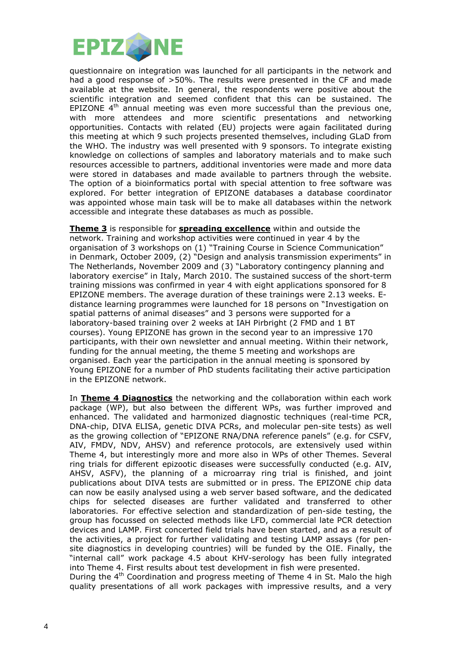

questionnaire on integration was launched for all participants in the network and had a good response of >50%. The results were presented in the CF and made available at the website. In general, the respondents were positive about the scientific integration and seemed confident that this can be sustained. The EPIZONE  $4<sup>th</sup>$  annual meeting was even more successful than the previous one, with more attendees and more scientific presentations and networking opportunities. Contacts with related (EU) projects were again facilitated during this meeting at which 9 such projects presented themselves, including GLaD from the WHO. The industry was well presented with 9 sponsors. To integrate existing knowledge on collections of samples and laboratory materials and to make such resources accessible to partners, additional inventories were made and more data were stored in databases and made available to partners through the website. The option of a bioinformatics portal with special attention to free software was explored. For better integration of EPIZONE databases a database coordinator was appointed whose main task will be to make all databases within the network accessible and integrate these databases as much as possible.

**Theme 3** is responsible for **spreading excellence** within and outside the network. Training and workshop activities were continued in year 4 by the organisation of 3 workshops on (1) "Training Course in Science Communication" in Denmark, October 2009, (2) "Design and analysis transmission experiments" in The Netherlands, November 2009 and (3) "Laboratory contingency planning and laboratory exercise" in Italy, March 2010. The sustained success of the short-term training missions was confirmed in year 4 with eight applications sponsored for 8 EPIZONE members. The average duration of these trainings were 2.13 weeks. Edistance learning programmes were launched for 18 persons on "Investigation on spatial patterns of animal diseases" and 3 persons were supported for a laboratory-based training over 2 weeks at IAH Pirbright (2 FMD and 1 BT courses). Young EPIZONE has grown in the second year to an impressive 170 participants, with their own newsletter and annual meeting. Within their network, funding for the annual meeting, the theme 5 meeting and workshops are organised. Each year the participation in the annual meeting is sponsored by Young EPIZONE for a number of PhD students facilitating their active participation in the EPIZONE network.

In **Theme 4 Diagnostics** the networking and the collaboration within each work package (WP), but also between the different WPs, was further improved and enhanced. The validated and harmonized diagnostic techniques (real-time PCR, DNA-chip, DIVA ELISA, genetic DIVA PCRs, and molecular pen-site tests) as well as the growing collection of "EPIZONE RNA/DNA reference panels" (e.g. for CSFV, AIV, FMDV, NDV, AHSV) and reference protocols, are extensively used within Theme 4, but interestingly more and more also in WPs of other Themes. Several ring trials for different epizootic diseases were successfully conducted (e.g. AIV, AHSV, ASFV), the planning of a microarray ring trial is finished, and joint publications about DIVA tests are submitted or in press. The EPIZONE chip data can now be easily analysed using a web server based software, and the dedicated chips for selected diseases are further validated and transferred to other laboratories. For effective selection and standardization of pen-side testing, the group has focussed on selected methods like LFD, commercial late PCR detection devices and LAMP. First concerted field trials have been started, and as a result of the activities, a project for further validating and testing LAMP assays (for pensite diagnostics in developing countries) will be funded by the OIE. Finally, the "internal call" work package 4.5 about KHV-serology has been fully integrated into Theme 4. First results about test development in fish were presented.

During the 4<sup>th</sup> Coordination and progress meeting of Theme 4 in St. Malo the high quality presentations of all work packages with impressive results, and a very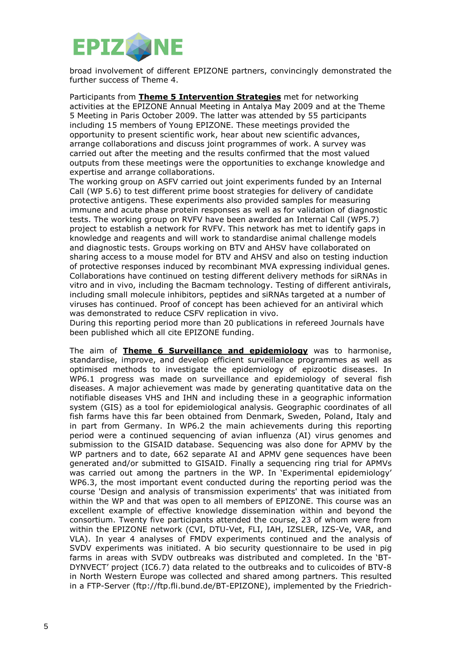

broad involvement of different EPIZONE partners, convincingly demonstrated the further success of Theme 4.

Participants from **Theme 5 Intervention Strategies** met for networking activities at the EPIZONE Annual Meeting in Antalya May 2009 and at the Theme 5 Meeting in Paris October 2009. The latter was attended by 55 participants including 15 members of Young EPIZONE. These meetings provided the opportunity to present scientific work, hear about new scientific advances, arrange collaborations and discuss joint programmes of work. A survey was carried out after the meeting and the results confirmed that the most valued outputs from these meetings were the opportunities to exchange knowledge and expertise and arrange collaborations.

The working group on ASFV carried out joint experiments funded by an Internal Call (WP 5.6) to test different prime boost strategies for delivery of candidate protective antigens. These experiments also provided samples for measuring immune and acute phase protein responses as well as for validation of diagnostic tests. The working group on RVFV have been awarded an Internal Call (WP5.7) project to establish a network for RVFV. This network has met to identify gaps in knowledge and reagents and will work to standardise animal challenge models and diagnostic tests. Groups working on BTV and AHSV have collaborated on sharing access to a mouse model for BTV and AHSV and also on testing induction of protective responses induced by recombinant MVA expressing individual genes. Collaborations have continued on testing different delivery methods for siRNAs in vitro and in vivo, including the Bacmam technology. Testing of different antivirals, including small molecule inhibitors, peptides and siRNAs targeted at a number of viruses has continued. Proof of concept has been achieved for an antiviral which was demonstrated to reduce CSFV replication in vivo.

During this reporting period more than 20 publications in refereed Journals have been published which all cite EPIZONE funding.

The aim of **Theme 6 Surveillance and epidemiology** was to harmonise, standardise, improve, and develop efficient surveillance programmes as well as optimised methods to investigate the epidemiology of epizootic diseases. In WP6.1 progress was made on surveillance and epidemiology of several fish diseases. A major achievement was made by generating quantitative data on the notifiable diseases VHS and IHN and including these in a geographic information system (GIS) as a tool for epidemiological analysis. Geographic coordinates of all fish farms have this far been obtained from Denmark, Sweden, Poland, Italy and in part from Germany. In WP6.2 the main achievements during this reporting period were a continued sequencing of avian influenza (AI) virus genomes and submission to the GISAID database. Sequencing was also done for APMV by the WP partners and to date, 662 separate AI and APMV gene sequences have been generated and/or submitted to GISAID. Finally a sequencing ring trial for APMVs was carried out among the partners in the WP. In 'Experimental epidemiology' WP6.3, the most important event conducted during the reporting period was the course 'Design and analysis of transmission experiments' that was initiated from within the WP and that was open to all members of EPIZONE. This course was an excellent example of effective knowledge dissemination within and beyond the consortium. Twenty five participants attended the course, 23 of whom were from within the EPIZONE network (CVI, DTU-Vet, FLI, IAH, IZSLER, IZS-Ve, VAR, and VLA). In year 4 analyses of FMDV experiments continued and the analysis of SVDV experiments was initiated. A bio security questionnaire to be used in pig farms in areas with SVDV outbreaks was distributed and completed. In the 'BT-DYNVECT' project (IC6.7) data related to the outbreaks and to culicoides of BTV-8 in North Western Europe was collected and shared among partners. This resulted in a FTP-Server (ftp://ftp.fli.bund.de/BT-EPIZONE), implemented by the Friedrich-